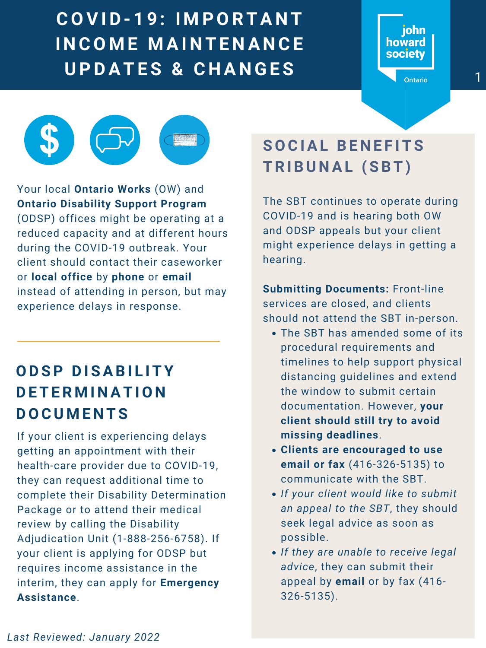



## **O D S P D I S A B I L I T Y D E T E R M I N A T I O N D O C U M E N T S**

If your client is experiencing delays getting an appointment with their health-care provider due to COVID-19, they can request additional time to complete their Disability Determination Package or to attend their medical review by calling the Disability Adjudication Unit (1-888-256-6758). If your client is applying for ODSP but requires income assistance in the interim, they can apply for **Emergency Assistance**.

Your local **Ontario Works** (OW) and **Ontario Disability Support Program** (ODSP) offices might be operating at a reduced capacity and at different hours during the COVID-19 outbreak. Your client should contact their caseworker or **local office** by **phone** or **email** instead of attending in person, but may experience delays in response.

## **S O C I A L B E N E F I T S T R I B U N A L ( S B T )**

E R A S E R K A J N T E N A N C E A RESEARCH POSTER ARTIVITY ON TANTIVITY OF TANTIVITY OF TANTIVITY OF TANTIVITY OF TANTIVITY OF TANTIVITY OF TA<br>
BRANGE **BANGE DE LA RESEARCH POSTER ABOUT CANGE DE LA RESEARCH POSTER A NOTE DE LA RESEARCH POSTER A VIETNAME C O V I D - 1 9 : I M P O R T A N T I N C O M E M A I N T E N A N C E U P D A T E S & C H A N G E S** <sup>1</sup>

The SBT has amended some of its

procedural requirements and timelines to help support physical distancing guidelines and extend the window to submit certain documentation. However, **your client should still try to avoid missing deadlines**.

- **Clients are encouraged to use email or fax** (416-326-5135) to communicate with the SBT.
- *If your client would like to submit an appeal to the SBT*, they should seek legal advice as soon as possible.
- *If they are unable to receive legal advice*, they can submit their appeal by **email** or by fax (416- 326-5135).

The SBT continues to operate during COVID-19 and is hearing both OW and ODSP appeals but your client might experience delays in getting a hearing.

**Submitting Documents:** Front-line services are closed, and clients should not attend the SBT in-person.